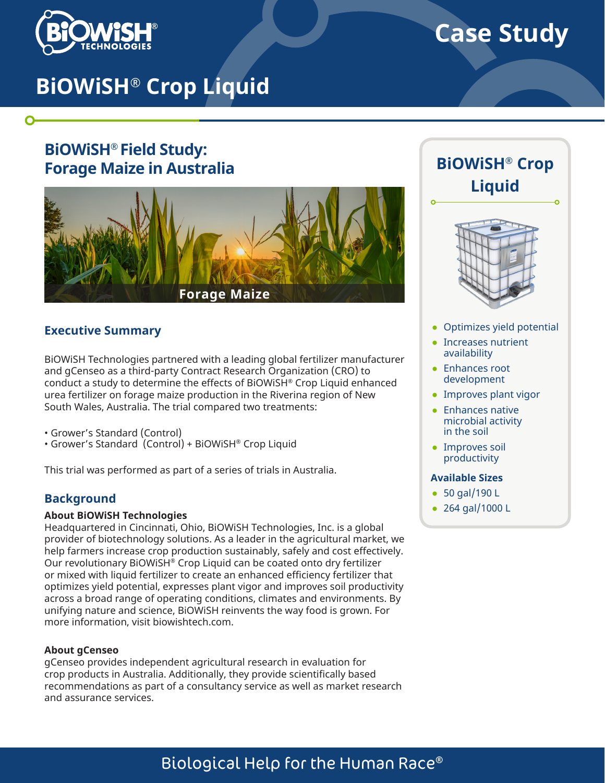

 $\mathbf O$ 

# **Case Study**

# **BiOWiSH® Crop Liquid**

## **BiOWiSH® Field Study: Forage Maize in Australia**



#### **Executive Summary**

BiOWiSH Technologies partnered with a leading global fertilizer manufacturer and gCenseo as a third-party Contract Research Organization (CRO) to conduct a study to determine the effects of BiOWiSH® Crop Liquid enhanced urea fertilizer on forage maize production in the Riverina region of New South Wales, Australia. The trial compared two treatments:

- Grower's Standard (Control)
- Grower's Standard (Control) + BiOWiSH® Crop Liquid

This trial was performed as part of a series of trials in Australia.

#### **Background**

#### **About BiOWiSH Technologies**

Headquartered in Cincinnati, Ohio, BiOWiSH Technologies, Inc. is a global provider of biotechnology solutions. As a leader in the agricultural market, we help farmers increase crop production sustainably, safely and cost effectively. Our revolutionary BiOWiSH® Crop Liquid can be coated onto dry fertilizer or mixed with liquid fertilizer to create an enhanced efficiency fertilizer that optimizes yield potential, expresses plant vigor and improves soil productivity across a broad range of operating conditions, climates and environments. By unifying nature and science, BiOWiSH reinvents the way food is grown. For more information, visit biowishtech.com.

#### **About gCenseo**

gCenseo provides independent agricultural research in evaluation for crop products in Australia. Additionally, they provide scientifically based recommendations as part of a consultancy service as well as market research and assurance services.

## **BiOWiSH® Crop Liquid**



- Optimizes yield potential
- Increases nutrient availability
- Enhances root development
- Improves plant vigor
- Enhances native microbial activity in the soil
- Improves soil productivity

#### **Available Sizes**

- 50 gal/190 L
- 264 gal/1000 L

## Biological Help for the Human Race®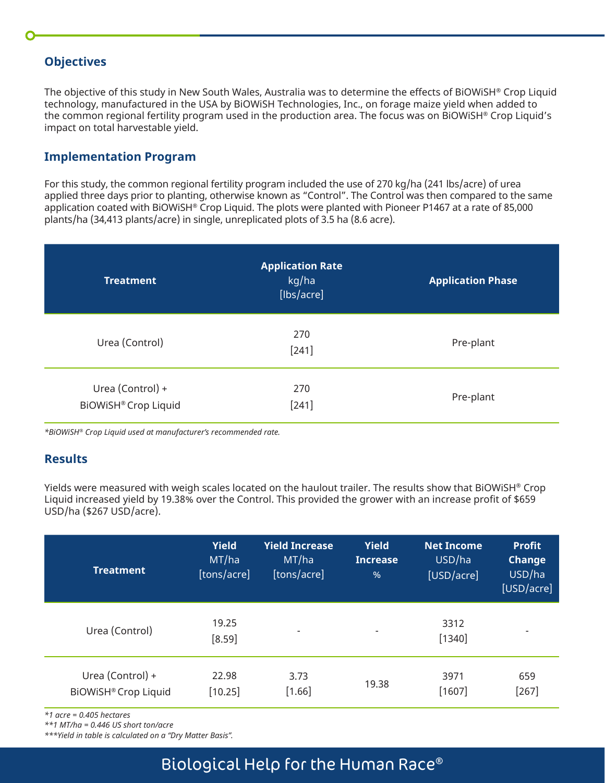#### **Objectives**

The objective of this study in New South Wales, Australia was to determine the effects of BiOWiSH® Crop Liquid technology, manufactured in the USA by BiOWiSH Technologies, Inc., on forage maize yield when added to the common regional fertility program used in the production area. The focus was on BiOWiSH® Crop Liquid's impact on total harvestable yield.

#### **Implementation Program**

For this study, the common regional fertility program included the use of 270 kg/ha (241 lbs/acre) of urea applied three days prior to planting, otherwise known as "Control". The Control was then compared to the same application coated with BiOWiSH® Crop Liquid. The plots were planted with Pioneer P1467 at a rate of 85,000 plants/ha (34,413 plants/acre) in single, unreplicated plots of 3.5 ha (8.6 acre).

| <b>Treatment</b>                                | <b>Application Rate</b><br>kg/ha<br>[lbs/acre] | <b>Application Phase</b> |
|-------------------------------------------------|------------------------------------------------|--------------------------|
| Urea (Control)                                  | 270<br>$[241]$                                 | Pre-plant                |
| Urea (Control) +<br><b>BIOWISH® Crop Liquid</b> | 270<br>$[241]$                                 | Pre-plant                |

*\*BiOWiSH® Crop Liquid used at manufacturer's recommended rate.*

#### **Results**

Yields were measured with weigh scales located on the haulout trailer. The results show that BiOWiSH® Crop Liquid increased yield by 19.38% over the Control. This provided the grower with an increase profit of \$659 USD/ha (\$267 USD/acre).

| <b>Treatment</b>                                | <b>Yield</b><br>MT/ha<br>[tons/acre] | <b>Yield Increase</b><br>MT/ha<br>[tons/acre] | <b>Yield</b><br><b>Increase</b><br>$\%$ | <b>Net Income</b><br>USD/ha<br>[USD/acre] | <b>Profit</b><br><b>Change</b><br>USD/ha<br>[USD/acre] |
|-------------------------------------------------|--------------------------------------|-----------------------------------------------|-----------------------------------------|-------------------------------------------|--------------------------------------------------------|
| Urea (Control)                                  | 19.25<br>$[8.59]$                    | $\overline{\phantom{0}}$                      | -                                       | 3312<br>$[1340]$                          |                                                        |
| Urea (Control) +<br><b>BiOWiSH® Crop Liquid</b> | 22.98<br>$[10.25]$                   | 3.73<br>$[1.66]$                              | 19.38                                   | 3971<br>[1607]                            | 659<br>$[267]$                                         |

*\*1 acre = 0.405 hectares* 

*\*\*1 MT/ha = 0.446 US short ton/acre* 

*\*\*\*Yield in table is calculated on a "Dry Matter Basis".*

### Biological Help for the Human Race®